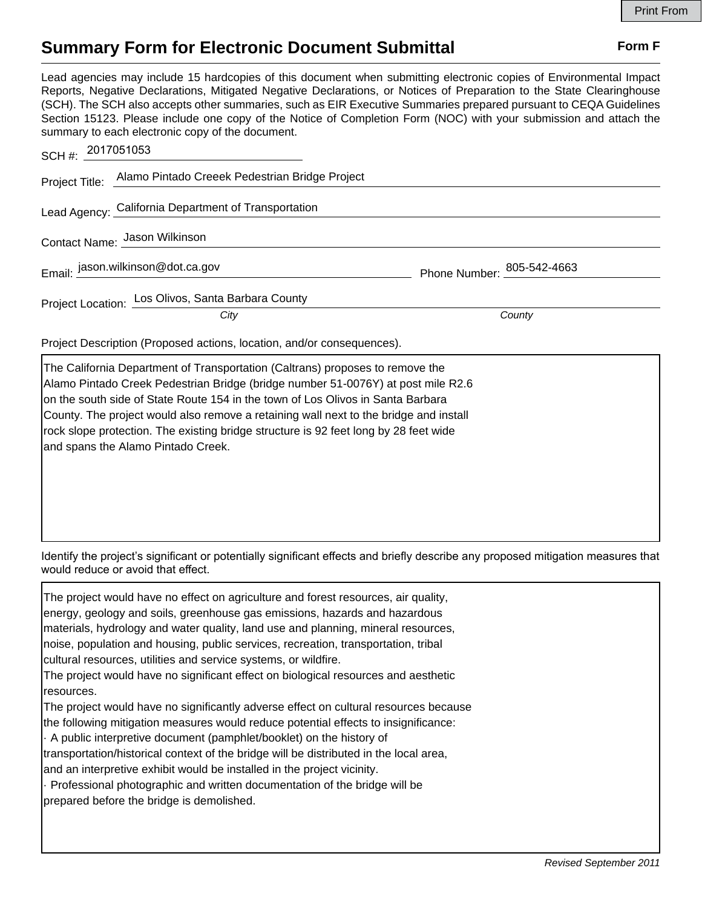## **Summary Form for Electronic Document Submittal Form F Form F**

rock slope protection. The existing bridge structure is 92 feet long by 28 feet wide

and spans the Alamo Pintado Creek.

Lead agencies may include 15 hardcopies of this document when submitting electronic copies of Environmental Impact Reports, Negative Declarations, Mitigated Negative Declarations, or Notices of Preparation to the State Clearinghouse (SCH). The SCH also accepts other summaries, such as EIR Executive Summaries prepared pursuant to CEQA Guidelines Section 15123. Please include one copy of the Notice of Completion Form (NOC) with your submission and attach the summary to each electronic copy of the document.

|                                                                                                                                                                                                                                                                                                                                               | SCH #: 2017051053                                             |                            |        |
|-----------------------------------------------------------------------------------------------------------------------------------------------------------------------------------------------------------------------------------------------------------------------------------------------------------------------------------------------|---------------------------------------------------------------|----------------------------|--------|
|                                                                                                                                                                                                                                                                                                                                               | Project Title: Alamo Pintado Creeek Pedestrian Bridge Project |                            |        |
| Lead Agency: California Department of Transportation                                                                                                                                                                                                                                                                                          |                                                               |                            |        |
| Contact Name: Jason Wilkinson                                                                                                                                                                                                                                                                                                                 |                                                               |                            |        |
| Email: jason.wilkinson@dot.ca.gov                                                                                                                                                                                                                                                                                                             |                                                               | Phone Number: 805-542-4663 |        |
|                                                                                                                                                                                                                                                                                                                                               | Project Location: Los Olivos, Santa Barbara County            |                            |        |
|                                                                                                                                                                                                                                                                                                                                               | City                                                          |                            | County |
| Project Description (Proposed actions, location, and/or consequences).                                                                                                                                                                                                                                                                        |                                                               |                            |        |
| The California Department of Transportation (Caltrans) proposes to remove the<br>Alamo Pintado Creek Pedestrian Bridge (bridge number 51-0076Y) at post mile R2.6<br>on the south side of State Route 154 in the town of Los Olivos in Santa Barbara<br>County. The project would also remove a retaining wall next to the bridge and install |                                                               |                            |        |

Identify the project's significant or potentially significant effects and briefly describe any proposed mitigation measures that would reduce or avoid that effect.

The project would have no effect on agriculture and forest resources, air quality, energy, geology and soils, greenhouse gas emissions, hazards and hazardous materials, hydrology and water quality, land use and planning, mineral resources, noise, population and housing, public services, recreation, transportation, tribal cultural resources, utilities and service systems, or wildfire. The project would have no significant effect on biological resources and aesthetic resources. The project would have no significantly adverse effect on cultural resources because the following mitigation measures would reduce potential effects to insignificance: · A public interpretive document (pamphlet/booklet) on the history of transportation/historical context of the bridge will be distributed in the local area, and an interpretive exhibit would be installed in the project vicinity. · Professional photographic and written documentation of the bridge will be prepared before the bridge is demolished.